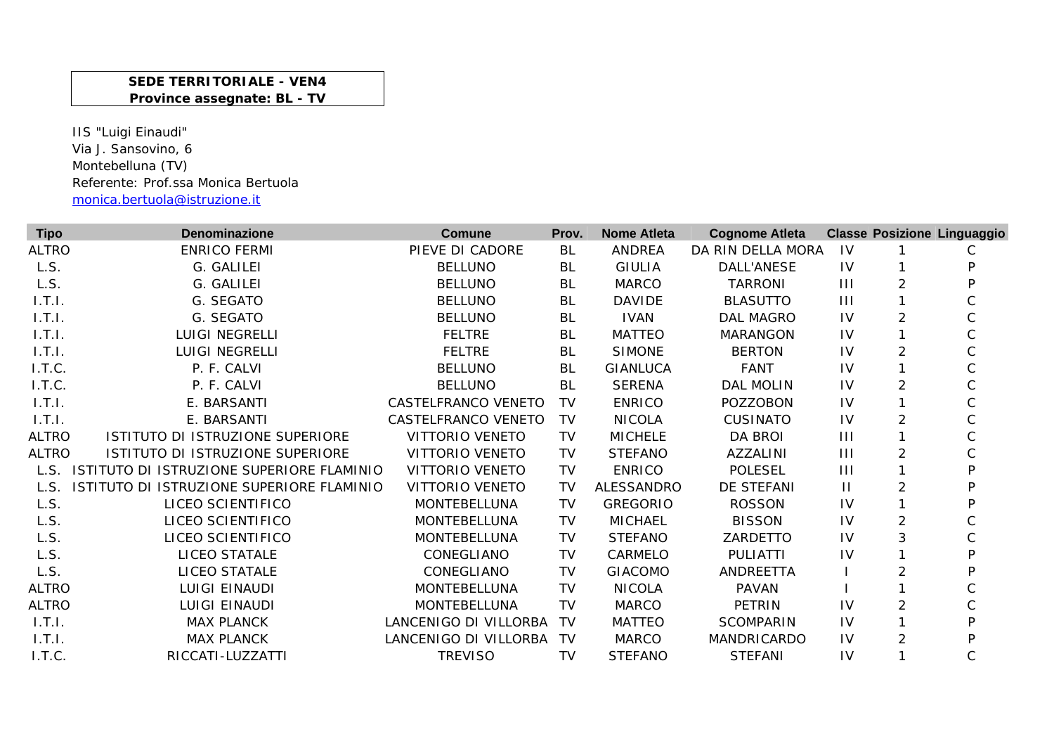## **SEDE TERRITORIALE - VEN4 Province assegnate: BL - TV**

IIS "Luigi Einaudi" Via J. Sansovino, 6 Montebelluna (TV) Referente: Prof.ssa Monica Bertuola monica.bertuola@istruzione.it

| <b>Tipo</b>  | <b>Denominazione</b>                      | <b>Comune</b>          | Prov.     | <b>Nome Atleta</b> | <b>Cognome Atleta</b> |              |                | <b>Classe Posizione Linguaggio</b> |
|--------------|-------------------------------------------|------------------------|-----------|--------------------|-----------------------|--------------|----------------|------------------------------------|
| <b>ALTRO</b> | <b>ENRICO FERMI</b>                       | PIEVE DI CADORE        | BL        | <b>ANDREA</b>      | DA RIN DELLA MORA     | -IV          |                | С                                  |
| L.S.         | G. GALILEI                                | <b>BELLUNO</b>         | BL        | <b>GIULIA</b>      | DALL'ANESE            | 1V           |                | P                                  |
| L.S.         | G. GALILEI                                | <b>BELLUNO</b>         | BL        | <b>MARCO</b>       | <b>TARRONI</b>        | $\mathbf{H}$ | $\overline{2}$ | Þ                                  |
| 1.T.I.       | G. SEGATO                                 | <b>BELLUNO</b>         | BL        | <b>DAVIDE</b>      | <b>BLASUTTO</b>       | $\mathbf{H}$ |                |                                    |
| 1.T.I.       | G. SEGATO                                 | <b>BELLUNO</b>         | BL        | <b>IVAN</b>        | <b>DAL MAGRO</b>      | IV           | $\overline{2}$ |                                    |
| 1.T.1.       | <b>LUIGI NEGRELLI</b>                     | <b>FELTRE</b>          | <b>BL</b> | <b>MATTEO</b>      | <b>MARANGON</b>       | <b>IV</b>    |                | $\mathsf C$                        |
| 1.7.1.       | <b>LUIGI NEGRELLI</b>                     | <b>FELTRE</b>          | BL        | <b>SIMONE</b>      | <b>BERTON</b>         | IV           | $\overline{2}$ | $\mathsf C$                        |
| I.T.C.       | P. F. CALVI                               | <b>BELLUNO</b>         | <b>BL</b> | <b>GIANLUCA</b>    | <b>FANT</b>           | 1V           |                | $\mathsf C$                        |
| I.T.C.       | P. F. CALVI                               | <b>BELLUNO</b>         | <b>BL</b> | <b>SERENA</b>      | <b>DAL MOLIN</b>      | 1V           | $\overline{2}$ | C                                  |
| 1.T.1.       | E. BARSANTI                               | CASTELFRANCO VENETO    | TV        | <b>ENRICO</b>      | <b>POZZOBON</b>       | IV           |                | C                                  |
| 1.T.1.       | E. BARSANTI                               | CASTELFRANCO VENETO    | TV        | <b>NICOLA</b>      | <b>CUSINATO</b>       | IV           | $\overline{2}$ | C                                  |
| <b>ALTRO</b> | ISTITUTO DI ISTRUZIONE SUPERIORE          | <b>VITTORIO VENETO</b> | TV        | <b>MICHELE</b>     | <b>DA BROI</b>        | $\mathbf{H}$ |                |                                    |
| <b>ALTRO</b> | ISTITUTO DI ISTRUZIONE SUPERIORE          | <b>VITTORIO VENETO</b> | TV        | <b>STEFANO</b>     | AZZALINI              | $\mathbf{H}$ | $\overline{2}$ | C                                  |
| L.S.         | ISTITUTO DI ISTRUZIONE SUPERIORE FLAMINIO | <b>VITTORIO VENETO</b> | <b>TV</b> | <b>ENRICO</b>      | <b>POLESEL</b>        | 111          |                | P                                  |
| L.S.         | ISTITUTO DI ISTRUZIONE SUPERIORE FLAMINIO | <b>VITTORIO VENETO</b> | TV        | <b>ALESSANDRO</b>  | DE STEFANI            | $\mathbf{H}$ | $\overline{2}$ | D                                  |
| L.S.         | LICEO SCIENTIFICO                         | <b>MONTEBELLUNA</b>    | TV        | <b>GREGORIO</b>    | <b>ROSSON</b>         | IV           |                | P                                  |
| L.S.         | LICEO SCIENTIFICO                         | <b>MONTEBELLUNA</b>    | TV        | <b>MICHAEL</b>     | <b>BISSON</b>         | <b>IV</b>    | $\overline{2}$ | С                                  |
| L.S.         | LICEO SCIENTIFICO                         | <b>MONTEBELLUNA</b>    | TV        | <b>STEFANO</b>     | ZARDETTO              | IV           | 3              | C                                  |
| L.S.         | LICEO STATALE                             | CONEGLIANO             | TV        | CARMELO            | <b>PULIATTI</b>       | 1V           |                | P                                  |
| L.S.         | <b>LICEO STATALE</b>                      | CONEGLIANO             | TV        | <b>GIACOMO</b>     | ANDREETTA             |              | 2              | P                                  |
| <b>ALTRO</b> | <b>LUIGI EINAUDI</b>                      | MONTEBELLUNA           | <b>TV</b> | <b>NICOLA</b>      | <b>PAVAN</b>          |              |                |                                    |
| <b>ALTRO</b> | <b>LUIGI EINAUDI</b>                      | MONTEBELLUNA           | <b>TV</b> | <b>MARCO</b>       | PETRIN                | IV           | $\overline{2}$ | C                                  |
| 1. T.1.      | <b>MAX PLANCK</b>                         | LANCENIGO DI VILLORBA  | TV        | <b>MATTEO</b>      | <b>SCOMPARIN</b>      | IV           |                | P                                  |
| 1.7.1.       | <b>MAX PLANCK</b>                         | LANCENIGO DI VILLORBA  | TV        | <b>MARCO</b>       | MANDRICARDO           | 1V           | 2              | P                                  |
| I.T.C.       | RICCATI-LUZZATTI                          | <b>TREVISO</b>         | TV        | <b>STEFANO</b>     | <b>STEFANI</b>        | IV           |                | С                                  |